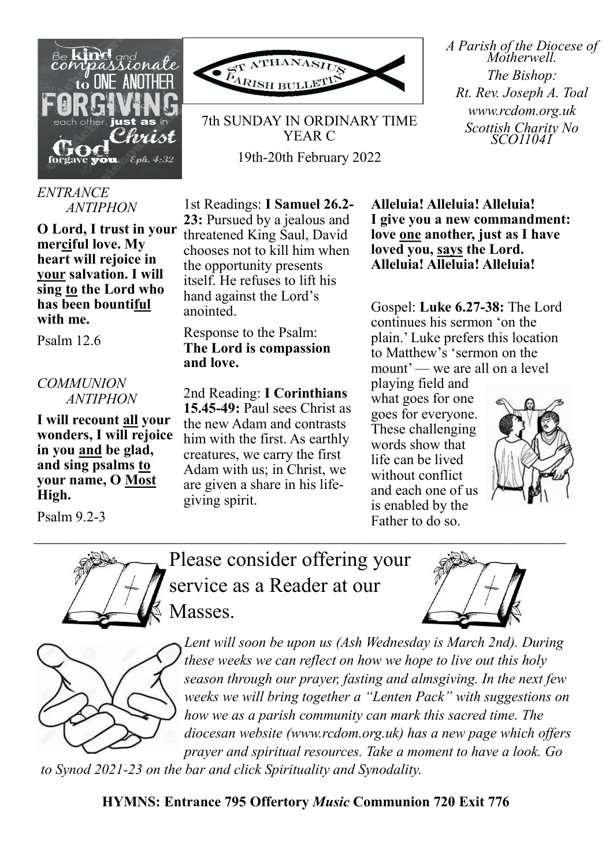

## *ENTRANCE ANTIPHON*

**O Lord, I trust in your merciful love. My heart will rejoice in your salvation. I will sing to the Lord who has been bountiful with me.**

Psalm 12.6

## *COMMUNION ANTIPHON*

**I will recount all your wonders, I will rejoice in you and be glad, and sing psalms to your name, O Most High.** 

Psalm 9.2-3



7th SUNDAY IN ORDINARY TIME YEAR C 19th-20th February 2022

1st Readings: **I Samuel 26.2- 23:** Pursued by a jealous and threatened King Saul, David chooses not to kill him when the opportunity presents itself. He refuses to lift his hand against the Lord's anointed.

## Response to the Psalm: **The Lord is compassion and love.**

2nd Reading: **I Corinthians 15.45-49:** Paul sees Christ as the new Adam and contrasts him with the first. As earthly creatures, we carry the first Adam with us; in Christ, we are given a share in his lifegiving spirit.

**Alleluia! Alleluia! Alleluia! I give you a new commandment: love one another, just as I have loved you, says the Lord. Alleluia! Alleluia! Alleluia!** 

Gospel: **Luke 6.27-38:** The Lord continues his sermon 'on the plain.' Luke prefers this location to Matthew's 'sermon on the mount' — we are all on a level

playing field and what goes for one goes for everyone. These challenging words show that life can be lived without conflict and each one of us is enabled by the Father to do so.



*A Parish of the Diocese of Motherwell. The Bishop: Rt. Rev. Joseph A. Toal www.rcdom.org.uk Scottish Charity No SCO11041*



Please consider offering your service as a Reader at our Masses.

\_\_\_\_\_\_\_\_\_\_\_\_\_\_\_\_\_\_\_\_\_\_\_\_\_\_\_\_\_\_\_\_\_\_\_\_\_\_\_\_\_\_\_\_\_\_\_\_\_\_\_\_\_\_\_\_\_\_\_\_\_\_\_\_\_\_\_\_\_\_\_\_\_\_\_\_\_\_\_\_\_\_\_\_\_\_\_\_\_\_\_\_\_\_\_\_\_\_\_\_\_\_\_\_





*Lent will soon be upon us (Ash Wednesday is March 2nd). During these weeks we can reflect on how we hope to live out this holy season through our prayer, fasting and almsgiving. In the next few weeks we will bring together a "Lenten Pack" with suggestions on how we as a parish community can mark this sacred time. The diocesan website (www.rcdom.org.uk) has a new page which offers prayer and spiritual resources. Take a moment to have a look. Go* 

*to Synod 2021-23 on the bar and click Spirituality and Synodality.*

**HYMNS: Entrance 795 Offertory** *Music* **Communion 720 Exit 776**